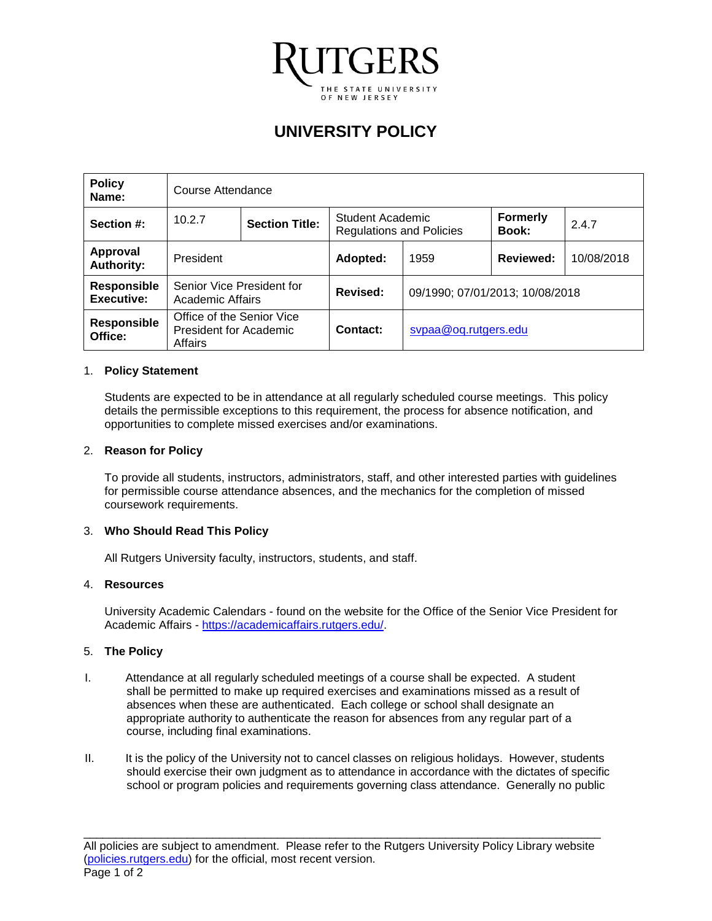

# **UNIVERSITY POLICY**

| <b>Policy</b><br>Name:                  | Course Attendance                                              |  |                                                     |                                 |                          |            |
|-----------------------------------------|----------------------------------------------------------------|--|-----------------------------------------------------|---------------------------------|--------------------------|------------|
| Section #:                              | 10.2.7<br><b>Section Title:</b>                                |  | Student Academic<br><b>Regulations and Policies</b> |                                 | <b>Formerly</b><br>Book: | 2.4.7      |
| <b>Approval</b><br><b>Authority:</b>    | President                                                      |  | Adopted:                                            | 1959                            | Reviewed:                | 10/08/2018 |
| <b>Responsible</b><br><b>Executive:</b> | Senior Vice President for<br>Academic Affairs                  |  | Revised:                                            | 09/1990; 07/01/2013; 10/08/2018 |                          |            |
| Responsible<br>Office:                  | Office of the Senior Vice<br>President for Academic<br>Affairs |  | Contact:                                            | svpaa@oq.rutgers.edu            |                          |            |

# 1. **Policy Statement**

Students are expected to be in attendance at all regularly scheduled course meetings. This policy details the permissible exceptions to this requirement, the process for absence notification, and opportunities to complete missed exercises and/or examinations.

# 2. **Reason for Policy**

To provide all students, instructors, administrators, staff, and other interested parties with guidelines for permissible course attendance absences, and the mechanics for the completion of missed coursework requirements.

# 3. **Who Should Read This Policy**

All Rutgers University faculty, instructors, students, and staff.

#### 4. **Resources**

University Academic Calendars - found on the website for the Office of the Senior Vice President for Academic Affairs - [https://academicaffairs.rutgers.edu/.](https://academicaffairs.rutgers.edu/)

# 5. **The Policy**

- I. Attendance at all regularly scheduled meetings of a course shall be expected. A student shall be permitted to make up required exercises and examinations missed as a result of absences when these are authenticated. Each college or school shall designate an appropriate authority to authenticate the reason for absences from any regular part of a course, including final examinations.
- II. It is the policy of the University not to cancel classes on religious holidays. However, students should exercise their own judgment as to attendance in accordance with the dictates of specific school or program policies and requirements governing class attendance. Generally no public